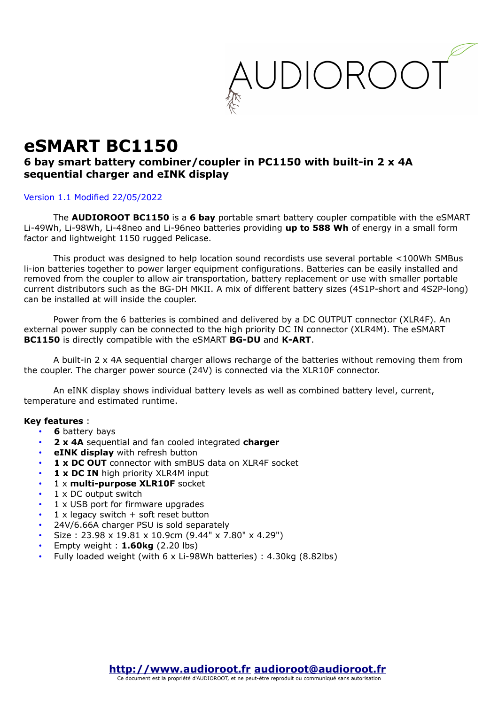

# **eSMART BC1150**

### **6 bay smart battery combiner/coupler in PC1150 with built-in 2 x 4A sequential charger and eINK display**

#### Version 1.1 Modified 22/05/2022

The **AUDIOROOT BC1150** is a **6 bay** portable smart battery coupler compatible with the eSMART Li-49Wh, Li-98Wh, Li-48neo and Li-96neo batteries providing **up to 588 Wh** of energy in a small form factor and lightweight 1150 rugged Pelicase.

This product was designed to help location sound recordists use several portable <100Wh SMBus li-ion batteries together to power larger equipment configurations. Batteries can be easily installed and removed from the coupler to allow air transportation, battery replacement or use with smaller portable current distributors such as the BG-DH MKII. A mix of different battery sizes (4S1P-short and 4S2P-long) can be installed at will inside the coupler.

Power from the 6 batteries is combined and delivered by a DC OUTPUT connector (XLR4F). An external power supply can be connected to the high priority DC IN connector (XLR4M). The eSMART **BC1150** is directly compatible with the eSMART **BG-DU** and **K-ART**.

A built-in 2 x 4A sequential charger allows recharge of the batteries without removing them from the coupler. The charger power source (24V) is connected via the XLR10F connector.

An eINK display shows individual battery levels as well as combined battery level, current, temperature and estimated runtime.

#### **Key features** :

- **6** battery bays
- **2 x 4A** sequential and fan cooled integrated **charger**
- **eINK display** with refresh button
- 1 x DC OUT connector with smBUS data on XLR4F socket
- 1 x DC IN high priority XLR4M input
- 1 x **multi-purpose XLR10F** socket
- 1 x DC output switch
- 1 x USB port for firmware upgrades
- $1 \times$  legacy switch  $+$  soft reset button
- 24V/6.66A charger PSU is sold separately
- Size : 23.98 x 19.81 x 10.9cm (9.44" x 7.80" x 4.29")
- Empty weight : **1.60kg** (2.20 lbs)
- Fully loaded weight (with 6 x Li-98Wh batteries) : 4.30kg (8.82lbs)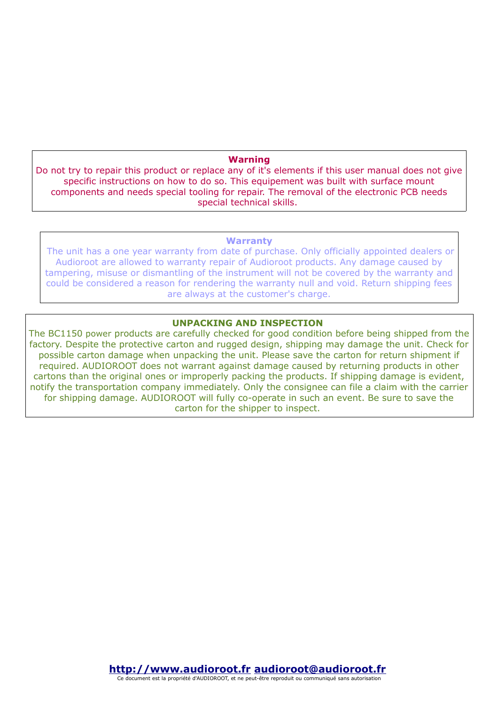#### **Warning**

Do not try to repair this product or replace any of it's elements if this user manual does not give specific instructions on how to do so. This equipement was built with surface mount components and needs special tooling for repair. The removal of the electronic PCB needs special technical skills.

#### **Warranty**

 The unit has a one year warranty from date of purchase. Only officially appointed dealers or Audioroot are allowed to warranty repair of Audioroot products. Any damage caused by tampering, misuse or dismantling of the instrument will not be covered by the warranty and could be considered a reason for rendering the warranty null and void. Return shipping fees are always at the customer's charge.

#### **UNPACKING AND INSPECTION**

The BC1150 power products are carefully checked for good condition before being shipped from the factory. Despite the protective carton and rugged design, shipping may damage the unit. Check for possible carton damage when unpacking the unit. Please save the carton for return shipment if required. AUDIOROOT does not warrant against damage caused by returning products in other cartons than the original ones or improperly packing the products. If shipping damage is evident, notify the transportation company immediately. Only the consignee can file a claim with the carrier for shipping damage. AUDIOROOT will fully co-operate in such an event. Be sure to save the carton for the shipper to inspect.

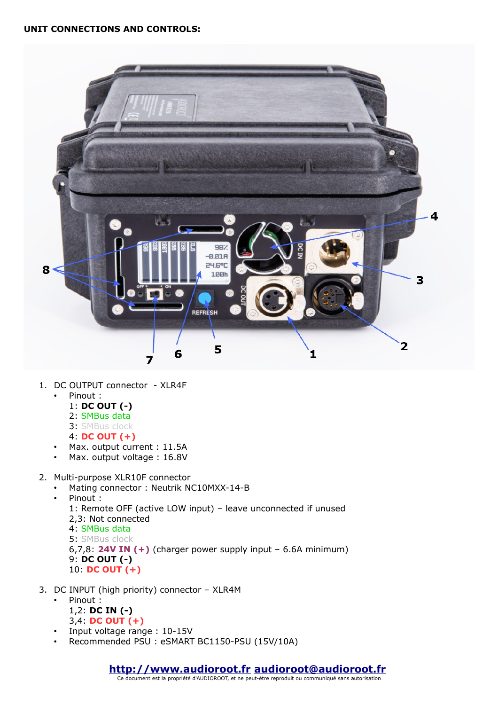

- 1. DC OUTPUT connector XLR4F
	- Pinout :
		- 1: **DC OUT (-)**
		- 2: SMBus data
		- 3: SMBus clock
		- 4: **DC OUT (+)**
	- Max. output current : 11.5A
	- Max. output voltage : 16.8V
- 2. Multi-purpose XLR10F connector
	- Mating connector : Neutrik NC10MXX-14-B
	- Pinout :

1: Remote OFF (active LOW input) – leave unconnected if unused 2,3: Not connected 4: SMBus data 5: SMBus clock 6,7,8: **24V IN (+)** (charger power supply input – 6.6A minimum)

9: **DC OUT (-)** 10: **DC OUT (+)**

- 3. DC INPUT (high priority) connector XLR4M
	- Pinout : 1,2: **DC IN (-)** 3,4: **DC OUT (+)**
	- Input voltage range : 10-15V
	- Recommended PSU : eSMART BC1150-PSU (15V/10A)

## **[http://www.audioroot.fr](http://www.audioroot.fr/) [audioroot@audioroot.fr](mailto:audioroot@audioroot.fr)** Ce document est la propriété d'AUDIOROOT, et ne peut-être reproduit ou communiqué sans autorisation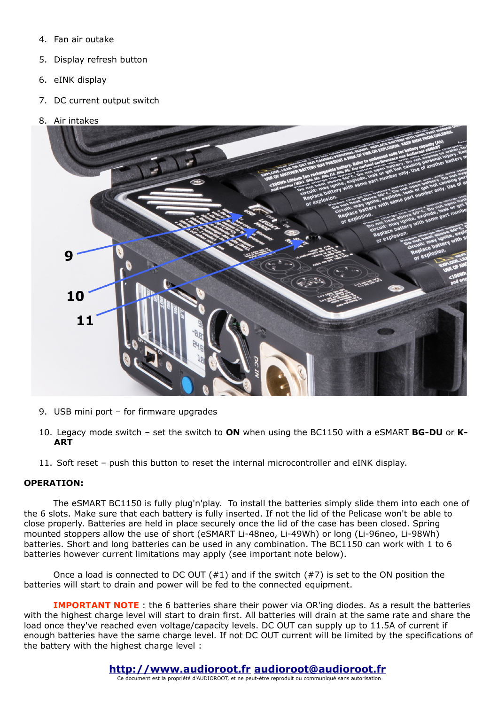- 4. Fan air outake
- 5. Display refresh button
- 6. eINK display
- 7. DC current output switch
- 8. Air intakes



- 9. USB mini port for firmware upgrades
- 10. Legacy mode switch set the switch to **ON** when using the BC1150 with a eSMART **BG-DU** or **K-ART**
- 11. Soft reset push this button to reset the internal microcontroller and eINK display.

#### **OPERATION:**

The eSMART BC1150 is fully plug'n'play. To install the batteries simply slide them into each one of the 6 slots. Make sure that each battery is fully inserted. If not the lid of the Pelicase won't be able to close properly. Batteries are held in place securely once the lid of the case has been closed. Spring mounted stoppers allow the use of short (eSMART Li-48neo, Li-49Wh) or long (Li-96neo, Li-98Wh) batteries. Short and long batteries can be used in any combination. The BC1150 can work with 1 to 6 batteries however current limitations may apply (see important note below).

Once a load is connected to DC OUT  $(#1)$  and if the switch  $(#7)$  is set to the ON position the batteries will start to drain and power will be fed to the connected equipment.

**IMPORTANT NOTE**: the 6 batteries share their power via OR'ing diodes. As a result the batteries with the highest charge level will start to drain first. All batteries will drain at the same rate and share the load once they've reached even voltage/capacity levels. DC OUT can supply up to 11.5A of current if enough batteries have the same charge level. If not DC OUT current will be limited by the specifications of the battery with the highest charge level :

## **[http://www.audioroot.fr](http://www.audioroot.fr/) [audioroot@audioroot.fr](mailto:audioroot@audioroot.fr)**